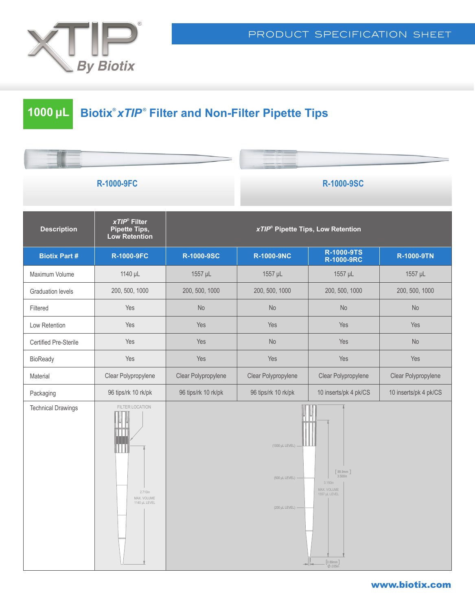

# **1000 μL Biotix®** *xTIP ®*  **Filter and Non-Filter Pipette Tips**

### **R-1000-9FC R-1000-9SC**

| <b>Description</b>        | xTIP <sup>®</sup> Filter<br><b>Pipette Tips,</b><br><b>Low Retention</b> | <b>xTIP<sup>®</sup> Pipette Tips, Low Retention</b> |                                                                |                                                                                                                                               |                       |
|---------------------------|--------------------------------------------------------------------------|-----------------------------------------------------|----------------------------------------------------------------|-----------------------------------------------------------------------------------------------------------------------------------------------|-----------------------|
| <b>Biotix Part #</b>      | <b>R-1000-9FC</b>                                                        | R-1000-9SC                                          | <b>R-1000-9NC</b>                                              | R-1000-9TS<br><b>R-1000-9RC</b>                                                                                                               | <b>R-1000-9TN</b>     |
| Maximum Volume            | 1140 µL                                                                  | 1557 µL                                             | 1557 µL                                                        | 1557 µL                                                                                                                                       | 1557 µL               |
| <b>Graduation levels</b>  | 200, 500, 1000                                                           | 200, 500, 1000                                      | 200, 500, 1000                                                 | 200, 500, 1000                                                                                                                                | 200, 500, 1000        |
| Filtered                  | Yes                                                                      | No                                                  | <b>No</b>                                                      | <b>No</b>                                                                                                                                     | No                    |
| Low Retention             | Yes                                                                      | Yes                                                 | Yes                                                            | Yes                                                                                                                                           | Yes                   |
| Certified Pre-Sterile     | Yes                                                                      | Yes                                                 | <b>No</b>                                                      | Yes                                                                                                                                           | <b>No</b>             |
| <b>BioReady</b>           | Yes                                                                      | Yes                                                 | Yes                                                            | Yes                                                                                                                                           | Yes                   |
| Material                  | Clear Polypropylene                                                      | Clear Polypropylene                                 | Clear Polypropylene                                            | Clear Polypropylene                                                                                                                           | Clear Polypropylene   |
| Packaging                 | 96 tips/rk 10 rk/pk                                                      | 96 tips/rk 10 rk/pk                                 | 96 tips/rk 10 rk/pk                                            | 10 inserts/pk 4 pk/CS                                                                                                                         | 10 inserts/pk 4 pk/CS |
| <b>Technical Drawings</b> | FILTER LOCATION<br>2.710in<br>MAX. VOLUME<br>1140 µL LEVEL               |                                                     | (1000 µL LEVEL) -<br>(500 µL LEVEL) -<br>$(200 \mu L$ LEVEL) - | [88.9mm]<br>3.500in<br>3.150in<br>MAX. VOLUME<br>1557 µL LEVEL<br>$\begin{bmatrix} 0.89 \text{mm} \\ \varnothing.035 \text{in} \end{bmatrix}$ |                       |

#### www.biotix.com